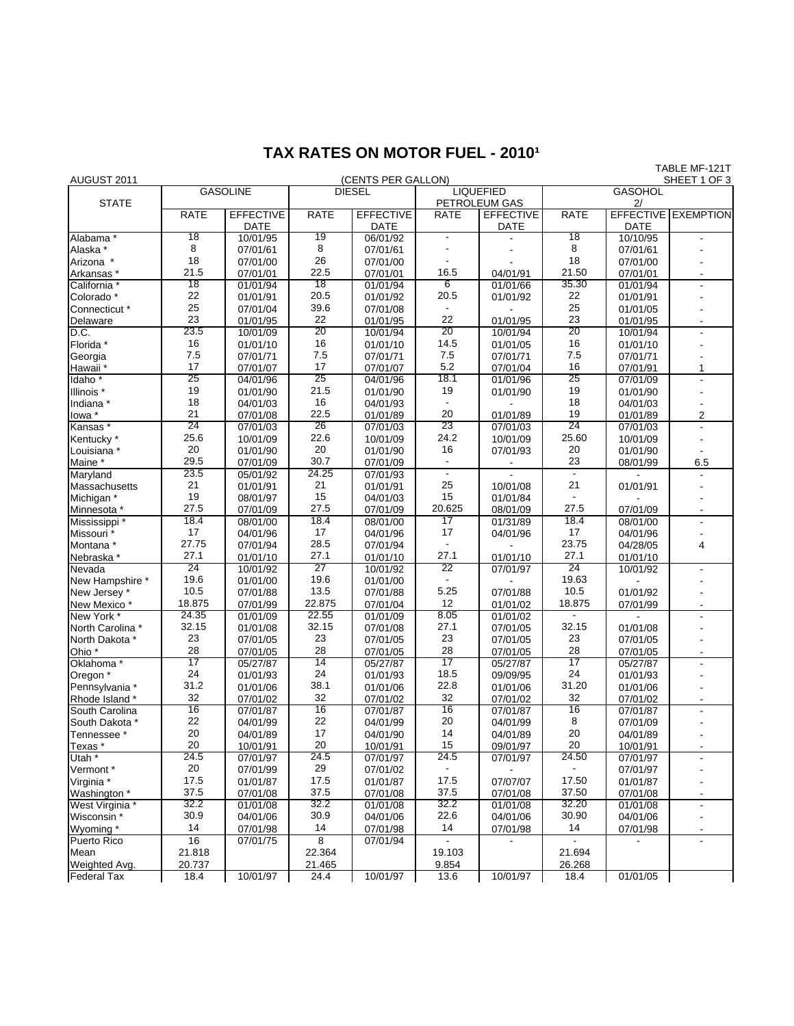## **TAX RATES ON MOTOR FUEL - 2010<sup>1</sup>**

| AUGUST 2011                        |                 |                         |               | (CENTS PER GALLON)   |                                   |                      |                      |                      | IADLE METZII<br>SHEET 1 OF 3 |
|------------------------------------|-----------------|-------------------------|---------------|----------------------|-----------------------------------|----------------------|----------------------|----------------------|------------------------------|
|                                    | <b>GASOLINE</b> |                         | <b>DIESEL</b> |                      | <b>LIQUEFIED</b><br>PETROLEUM GAS |                      | <b>GASOHOL</b><br>2/ |                      |                              |
| <b>STATE</b>                       |                 |                         |               |                      |                                   |                      |                      |                      |                              |
|                                    | <b>RATE</b>     | <b>EFFECTIVE</b>        | <b>RATE</b>   | <b>EFFECTIVE</b>     | <b>RATE</b>                       | <b>EFFECTIVE</b>     | <b>RATE</b>          |                      | <b>EFFECTIVE EXEMPTION</b>   |
| Alabama <sup>*</sup>               | 18              | <b>DATE</b><br>10/01/95 | 19            | DATE                 |                                   | <b>DATE</b>          | 18                   | DATE<br>10/10/95     |                              |
|                                    | 8               | 07/01/61                | 8             | 06/01/92             |                                   |                      | 8                    |                      |                              |
| Alaska *                           | 18              |                         | 26            | 07/01/61             |                                   |                      | 18                   | 07/01/61             |                              |
| Arizona *                          | 21.5            | 07/01/00                | 22.5          | 07/01/00             | 16.5                              |                      | 21.50                | 07/01/00             |                              |
| Arkansas *                         | 18              | 07/01/01                | 18            | 07/01/01             | 6                                 | 04/01/91             | 35.30                | 07/01/01             |                              |
| California <sup>*</sup>            | 22              | 01/01/94                | 20.5          | 01/01/94             | 20.5                              | 01/01/66             | 22                   | 01/01/94             |                              |
| Colorado <sup>*</sup>              | 25              | 01/01/91                | 39.6          | 01/01/92<br>07/01/08 |                                   | 01/01/92             | 25                   | 01/01/91             |                              |
| Connecticut *                      | 23              | 07/01/04                | 22            |                      | 22                                | 01/01/95             | 23                   | 01/01/05<br>01/01/95 |                              |
| Delaware<br>D.C.                   | 23.5            | 01/01/95                | 20            | 01/01/95             | 20                                | 10/01/94             | 20                   |                      |                              |
|                                    | 16              | 10/01/09<br>01/01/10    | 16            | 10/01/94<br>01/01/10 | 14.5                              | 01/01/05             | 16                   | 10/01/94<br>01/01/10 |                              |
| Florida *                          | 7.5             | 07/01/71                | 7.5           |                      | 7.5                               | 07/01/71             | 7.5                  | 07/01/71             |                              |
| Georgia                            | 17              |                         | 17            | 07/01/71             | 5.2                               |                      | 16                   |                      |                              |
| Hawaii <sup>'</sup>                | 25              | 07/01/07                | 25            | 07/01/07             | 18.1                              | 07/01/04             | 25                   | 07/01/91             | 1                            |
| Idaho <sup>*</sup>                 | 19              | 04/01/96<br>01/01/90    | 21.5          | 04/01/96<br>01/01/90 | 19                                | 01/01/96<br>01/01/90 | 19                   | 07/01/09<br>01/01/90 | $\overline{\phantom{a}}$     |
| Illinois *                         | 18              |                         | 16            |                      |                                   |                      | 18                   |                      |                              |
| Indiana*                           | 21              | 04/01/03                | 22.5          | 04/01/93             | 20                                |                      | 19                   | 04/01/03             |                              |
| lowa *                             | 24              | 07/01/08                | 26            | 01/01/89             | 23                                | 01/01/89             | 24                   | 01/01/89             | $\overline{c}$               |
| Kansas*                            | 25.6            | 07/01/03                | 22.6          | 07/01/03             | 24.2                              | 07/01/03             | 25.60                | 07/01/03             |                              |
| Kentucky <sup>*</sup>              | 20              | 10/01/09                | 20            | 10/01/09             | 16                                | 10/01/09             | 20                   | 10/01/09             |                              |
| Louisiana *                        | 29.5            | 01/01/90                | 30.7          | 01/01/90             | $\blacksquare$                    | 07/01/93             | 23                   | 01/01/90             |                              |
| Maine *<br>Maryland                | 23.5            | 07/01/09                | 24.25         | 07/01/09             |                                   |                      |                      | 08/01/99             | 6.5                          |
|                                    | 21              | 05/01/92                | 21            | 07/01/93             | 25                                |                      | 21                   |                      |                              |
| Massachusetts                      | 19              | 01/01/91                | 15            | 01/01/91             | 15                                | 10/01/08             |                      | 01/01/91             |                              |
| Michigan *                         | 27.5            | 08/01/97                | 27.5          | 04/01/03             | 20.625                            | 01/01/84             | 27.5                 |                      |                              |
| Minnesota *<br>Mississippi *       | 18.4            | 07/01/09                | 18.4          | 07/01/09             | 17                                | 08/01/09             | 18.4                 | 07/01/09             | $\blacksquare$               |
|                                    | 17              | 08/01/00<br>04/01/96    | 17            | 08/01/00<br>04/01/96 | 17                                | 01/31/89<br>04/01/96 | 17                   | 08/01/00<br>04/01/96 |                              |
| Missouri <sup>3</sup><br>Montana * | 27.75           | 07/01/94                | 28.5          | 07/01/94             |                                   |                      | 23.75                | 04/28/05             | 4                            |
| Nebraska *                         | 27.1            | 01/01/10                | 27.1          | 01/01/10             | 27.1                              | 01/01/10             | 27.1                 | 01/01/10             |                              |
| Nevada                             | 24              | 10/01/92                | 27            | 10/01/92             | 22                                | 07/01/97             | 24                   | 10/01/92             |                              |
| New Hampshire *                    | 19.6            | 01/01/00                | 19.6          | 01/01/00             |                                   |                      | 19.63                |                      |                              |
| New Jersey *                       | 10.5            | 07/01/88                | 13.5          | 07/01/88             | 5.25                              | 07/01/88             | 10.5                 | 01/01/92             |                              |
| New Mexico*                        | 18.875          | 07/01/99                | 22.875        | 07/01/04             | 12                                | 01/01/02             | 18.875               | 07/01/99             |                              |
| New York *                         | 24.35           | 01/01/09                | 22.55         | 01/01/09             | 8.05                              | 01/01/02             |                      |                      |                              |
| North Carolina *                   | 32.15           | 01/01/08                | 32.15         | 07/01/08             | 27.1                              | 07/01/05             | 32.15                | 01/01/08             |                              |
| North Dakota *                     | 23              | 07/01/05                | 23            | 07/01/05             | 23                                | 07/01/05             | 23                   | 07/01/05             |                              |
| Ohio <sup>*</sup>                  | 28              | 07/01/05                | 28            | 07/01/05             | 28                                | 07/01/05             | 28                   | 07/01/05             |                              |
| Oklahoma <sup>*</sup>              | 17              | 05/27/87                | 14            | 05/27/87             | 17                                | 05/27/87             | 17                   | 05/27/87             | $\blacksquare$               |
| Oregon *                           | 24              | 01/01/93                | 24            | 01/01/93             | 18.5                              | 09/09/95             | 24                   | 01/01/93             |                              |
| Pennsylvania *                     | 31.2            | 01/01/06                | 38.1          | 01/01/06             | 22.8                              | 01/01/06             | 31.20                | 01/01/06             |                              |
| Rhode Island *                     | 32              | 07/01/02                | 32            | 07/01/02             | 32                                | 07/01/02             | 32                   | 07/01/02             | $\blacksquare$               |
| South Carolina                     | 16              | 07/01/87                | 16            | 07/01/87             | 16                                | 07/01/87             | 16                   | 07/01/87             | $\overline{\phantom{a}}$     |
| South Dakota *                     | 22              | 04/01/99                | 22            | 04/01/99             | 20                                | 04/01/99             | 8                    | 07/01/09             |                              |
| Tennessee <sup>*</sup>             | 20              | 04/01/89                | 17            | 04/01/90             | 14                                | 04/01/89             | 20                   | 04/01/89             |                              |
| Texas *                            | 20              | 10/01/91                | 20            | 10/01/91             | 15                                | 09/01/97             | 20                   | 10/01/91             |                              |
| Utah <sup>*</sup>                  | 24.5            | 07/01/97                | 24.5          | 07/01/97             | 24.5                              | 07/01/97             | 24.50                | 07/01/97             |                              |
| Vermont*                           | 20              | 07/01/99                | 29            | 07/01/02             |                                   |                      |                      | 07/01/97             |                              |
| Virginia *                         | 17.5            | 01/01/87                | 17.5          | 01/01/87             | 17.5                              | 07/07/07             | 17.50                | 01/01/87             |                              |
| Washington *                       | 37.5            | 07/01/08                | 37.5          | 07/01/08             | 37.5                              | 07/01/08             | 37.50                | 07/01/08             |                              |
| West Virginia *                    | 32.2            | 01/01/08                | 32.2          | 01/01/08             | 32.2                              | 01/01/08             | 32.20                | 01/01/08             | $\blacksquare$               |
| Wisconsin *                        | 30.9            | 04/01/06                | 30.9          | 04/01/06             | 22.6                              | 04/01/06             | 30.90                | 04/01/06             |                              |
| Wyoming *                          | 14              | 07/01/98                | 14            | 07/01/98             | 14                                | 07/01/98             | 14                   | 07/01/98             |                              |
| Puerto Rico                        | 16              | 07/01/75                | 8             | 07/01/94             |                                   |                      |                      |                      | $\overline{\phantom{a}}$     |
| Mean                               | 21.818          |                         | 22.364        |                      | 19.103                            |                      | 21.694               |                      |                              |
| Weighted Avg.                      | 20.737          |                         | 21.465        |                      | 9.854                             |                      | 26.268               |                      |                              |
| <b>Federal Tax</b>                 | 18.4            | 10/01/97                | 24.4          | 10/01/97             | 13.6                              | 10/01/97             | 18.4                 | 01/01/05             |                              |

TABLE MF-121T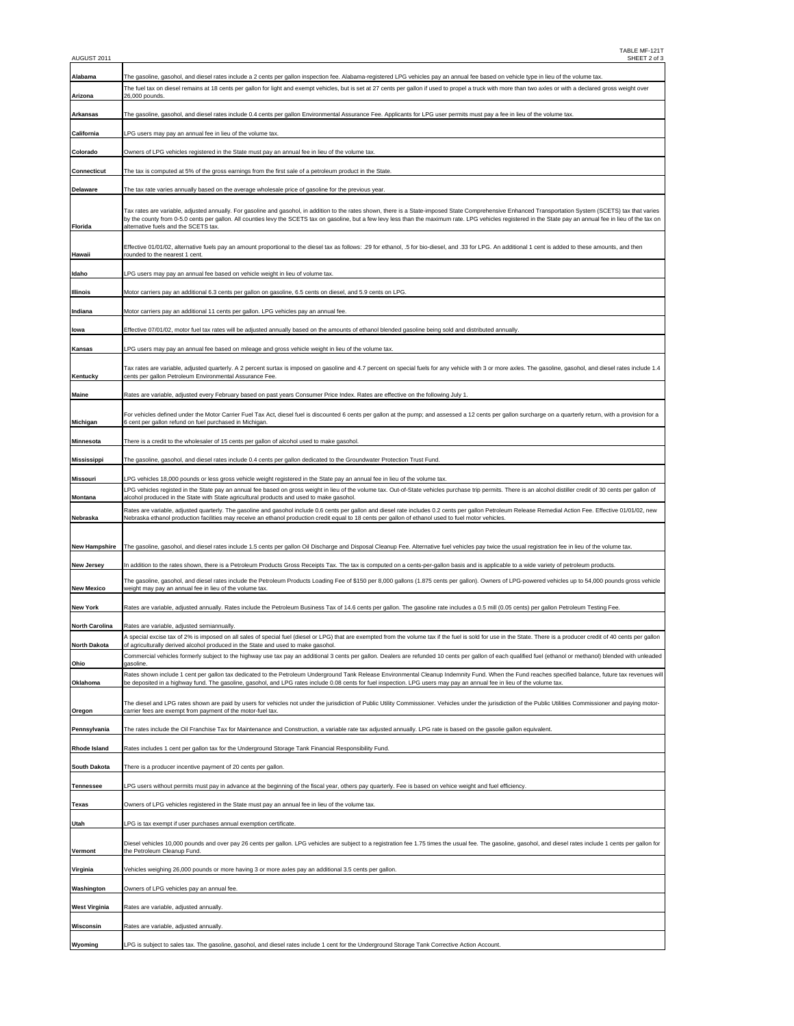| Alabama              | The gasoline, gasohol, and diesel rates include a 2 cents per gallon inspection fee. Alabama-registered LPG vehicles pay an annual fee based on vehicle type in lieu of the volume tax.                                                                                                                                                                                                                                                                             |  |  |  |  |  |
|----------------------|---------------------------------------------------------------------------------------------------------------------------------------------------------------------------------------------------------------------------------------------------------------------------------------------------------------------------------------------------------------------------------------------------------------------------------------------------------------------|--|--|--|--|--|
|                      | The fuel tax on diesel remains at 18 cents per gallon for light and exempt vehicles, but is set at 27 cents per gallon if used to propel a truck with more than two axles or with a declared gross weight over                                                                                                                                                                                                                                                      |  |  |  |  |  |
| Arizona              | 26,000 pounds.                                                                                                                                                                                                                                                                                                                                                                                                                                                      |  |  |  |  |  |
| Arkansas             | The gasoline, gasohol, and diesel rates include 0.4 cents per gallon Environmental Assurance Fee. Applicants for LPG user permits must pay a fee in lieu of the volume tax.                                                                                                                                                                                                                                                                                         |  |  |  |  |  |
| California           | LPG users may pay an annual fee in lieu of the volume tax.                                                                                                                                                                                                                                                                                                                                                                                                          |  |  |  |  |  |
| Colorado             | Owners of LPG vehicles registered in the State must pay an annual fee in lieu of the volume tax.                                                                                                                                                                                                                                                                                                                                                                    |  |  |  |  |  |
| Connecticut          | The tax is computed at 5% of the gross earnings from the first sale of a petroleum product in the State                                                                                                                                                                                                                                                                                                                                                             |  |  |  |  |  |
| Delaware             | The tax rate varies annually based on the average wholesale price of gasoline for the previous year.                                                                                                                                                                                                                                                                                                                                                                |  |  |  |  |  |
| Florida              | Tax rates are variable, adjusted annually. For gasoline and gasohol, in addition to the rates shown, there is a State-imposed State Comprehensive Enhanced Transportation System (SCETS) tax that varies<br>by the county from 0-5.0 cents per gallon. All counties levy the SCETS tax on gasoline, but a few levy less than the maximum rate. LPG vehicles registered in the State pay an annual fee in lieu of the tax on<br>alternative fuels and the SCETS tax. |  |  |  |  |  |
| Hawaii               | Effective 01/01/02, alternative fuels pay an amount proportional to the diesel tax as follows: .29 for ethanol, .5 for bio-diesel, and .33 for LPG. An additional 1 cent is added to these amounts, and then<br>rounded to the nearest 1 cent.                                                                                                                                                                                                                      |  |  |  |  |  |
| Idaho                | LPG users may pay an annual fee based on vehicle weight in lieu of volume tax                                                                                                                                                                                                                                                                                                                                                                                       |  |  |  |  |  |
| Illinois             | Motor carriers pay an additional 6.3 cents per gallon on gasoline, 6.5 cents on diesel, and 5.9 cents on LPG.                                                                                                                                                                                                                                                                                                                                                       |  |  |  |  |  |
| Indiana              | Motor carriers pay an additional 11 cents per gallon. LPG vehicles pay an annual fee.                                                                                                                                                                                                                                                                                                                                                                               |  |  |  |  |  |
| lowa                 | Effective 07/01/02, motor fuel tax rates will be adjusted annually based on the amounts of ethanol blended gasoline being sold and distributed annually.                                                                                                                                                                                                                                                                                                            |  |  |  |  |  |
| Kansas               | LPG users may pay an annual fee based on mileage and gross vehicle weight in lieu of the volume tax.                                                                                                                                                                                                                                                                                                                                                                |  |  |  |  |  |
|                      | Tax rates are variable, adjusted quarterly. A 2 percent surtax is imposed on gasoline and 4.7 percent on special fuels for any vehicle with 3 or more axles. The gasoline, gasohol, and diesel rates include 1.4                                                                                                                                                                                                                                                    |  |  |  |  |  |
| Kentucky             | cents per gallon Petroleum Environmental Assurance Fee.                                                                                                                                                                                                                                                                                                                                                                                                             |  |  |  |  |  |
| Maine                | Rates are variable, adjusted every February based on past years Consumer Price Index. Rates are effective on the following July 1                                                                                                                                                                                                                                                                                                                                   |  |  |  |  |  |
| Michigan             | For vehicles defined under the Motor Carrier Fuel Tax Act, diesel fuel is discounted 6 cents per gallon at the pump; and assessed a 12 cents per gallon surcharge on a quarterly return, with a provision for a<br>6 cent per gallon refund on fuel purchased in Michigan.                                                                                                                                                                                          |  |  |  |  |  |
| Minnesota            | There is a credit to the wholesaler of 15 cents per gallon of alcohol used to make gasohol.                                                                                                                                                                                                                                                                                                                                                                         |  |  |  |  |  |
| Mississippi          | The gasoline, gasohol, and diesel rates include 0.4 cents per gallon dedicated to the Groundwater Protection Trust Fund.                                                                                                                                                                                                                                                                                                                                            |  |  |  |  |  |
| Missouri             | LPG vehicles 18,000 pounds or less gross vehicle weight registered in the State pay an annual fee in lieu of the volume tax.                                                                                                                                                                                                                                                                                                                                        |  |  |  |  |  |
| Montana              | LPG vehicles registed in the State pay an annual fee based on gross weight in lieu of the volume tax. Out-of-State vehicles purchase trip permits. There is an alcohol distiller credit of 30 cents per gallon of<br>alcohol produced in the State with State agricultural products and used to make gasohol.                                                                                                                                                       |  |  |  |  |  |
| Nebraska             | Rates are variable, adjusted quarterly. The gasoline and gasohol include 0.6 cents per gallon and diesel rate includes 0.2 cents per gallon Petroleum Release Remedial Action Fee. Effective 01/01/02, new<br>Nebraska ethanol production facilities may receive an ethanol production credit equal to 18 cents per gallon of ethanol used to fuel motor vehicles.                                                                                                  |  |  |  |  |  |
| <b>New Hampshire</b> | The gasoline, gasohol, and diesel rates include 1.5 cents per gallon Oil Discharge and Disposal Cleanup Fee. Alternative fuel vehicles pay twice the usual registration fee in lieu of the volume tax.                                                                                                                                                                                                                                                              |  |  |  |  |  |
| <b>New Jersey</b>    | In addition to the rates shown, there is a Petroleum Products Gross Receipts Tax. The tax is computed on a cents-per-gallon basis and is applicable to a wide variety of petroleum products.                                                                                                                                                                                                                                                                        |  |  |  |  |  |
| <b>New Mexico</b>    | The gasoline, gasohol, and diesel rates include the Petroleum Products Loading Fee of \$150 per 8,000 gallons (1.875 cents per gallon). Owners of LPG-powered vehicles up to 54,000 pounds gross vehicle<br>weight may pay an annual fee in lieu of the volume tax.                                                                                                                                                                                                 |  |  |  |  |  |
| New York             | Rates are variable, adjusted annually. Rates include the Petroleum Business Tax of 14.6 cents per gallon. The gasoline rate includes a 0.5 mill (0.05 cents) per gallon Petroleum Testing Fee.                                                                                                                                                                                                                                                                      |  |  |  |  |  |
| North Carolina       | Rates are variable, adjusted semiannually.                                                                                                                                                                                                                                                                                                                                                                                                                          |  |  |  |  |  |
| <b>North Dakota</b>  | A special excise tax of 2% is imposed on all sales of special fuel (diesel or LPG) that are exempted from the volume tax if the fuel is sold for use in the State. There is a producer credit of 40 cents per gallon<br>of agriculturally derived alcohol produced in the State and used to make gasonol                                                                                                                                                            |  |  |  |  |  |
| Ohio                 | Commercial vehicles formerly subject to the highway use tax pay an additional 3 cents per gallon. Dealers are refunded 10 cents per gallon of each qualified fuel (ethanol or methanol) blended with unleaded<br>aasoline                                                                                                                                                                                                                                           |  |  |  |  |  |
| Oklahoma             | Rates shown include 1 cent per gallon tax dedicated to the Petroleum Underground Tank Release Environmental Cleanup Indemnity Fund. When the Fund reaches specified balance, future tax revenues will<br>be deposited in a highway fund. The gasoline, gasohol, and LPG rates include 0.08 cents for fuel inspection. LPG users may pay an annual fee in lieu of the volume tax.                                                                                    |  |  |  |  |  |
|                      |                                                                                                                                                                                                                                                                                                                                                                                                                                                                     |  |  |  |  |  |
| Oregon               | The diesel and LPG rates shown are paid by users for vehicles not under the jurisdiction of Public Utility Commissioner. Vehicles under the jurisdiction of the Public Utilities Commissioner and paying motor-<br>carrier fees are exempt from payment of the motor-fuel tax.                                                                                                                                                                                      |  |  |  |  |  |
| Pennsylvania         | The rates include the Oil Franchise Tax for Maintenance and Construction, a variable rate tax adjusted annually. LPG rate is based on the gasolie gallon equivalent                                                                                                                                                                                                                                                                                                 |  |  |  |  |  |
| Rhode Island         | Rates includes 1 cent per gallon tax for the Underground Storage Tank Financial Responsibility Fund.                                                                                                                                                                                                                                                                                                                                                                |  |  |  |  |  |
| South Dakota         | There is a producer incentive payment of 20 cents per gallon.                                                                                                                                                                                                                                                                                                                                                                                                       |  |  |  |  |  |
| Tennessee            | LPG users without permits must pay in advance at the beginning of the fiscal year, others pay quarterly. Fee is based on vehice weight and fuel efficiency                                                                                                                                                                                                                                                                                                          |  |  |  |  |  |
| Texas                | Owners of LPG vehicles registered in the State must pay an annual fee in lieu of the volume tax.                                                                                                                                                                                                                                                                                                                                                                    |  |  |  |  |  |
| Utah                 | LPG is tax exempt if user purchases annual exemption certificate.                                                                                                                                                                                                                                                                                                                                                                                                   |  |  |  |  |  |
| Vermont              | Diesel vehicles 10,000 pounds and over pay 26 cents per gallon. LPG vehicles are subject to a registration fee 1.75 times the usual fee. The gasoline, gasohol, and diesel rates include 1 cents per gallon for<br>the Petroleum Cleanup Fund.                                                                                                                                                                                                                      |  |  |  |  |  |
| Virginia             | Vehicles weighing 26,000 pounds or more having 3 or more axles pay an additional 3.5 cents per gallon.                                                                                                                                                                                                                                                                                                                                                              |  |  |  |  |  |
| Washington           | Owners of LPG vehicles pay an annual fee.                                                                                                                                                                                                                                                                                                                                                                                                                           |  |  |  |  |  |
| <b>West Virginia</b> | Rates are variable, adjusted annually                                                                                                                                                                                                                                                                                                                                                                                                                               |  |  |  |  |  |
| Wisconsin            | Rates are variable, adjusted annually                                                                                                                                                                                                                                                                                                                                                                                                                               |  |  |  |  |  |
| Wyoming              | LPG is subject to sales tax. The gasoline, gasohol, and diesel rates include 1 cent for the Underground Storage Tank Corrective Action Account.                                                                                                                                                                                                                                                                                                                     |  |  |  |  |  |
|                      |                                                                                                                                                                                                                                                                                                                                                                                                                                                                     |  |  |  |  |  |